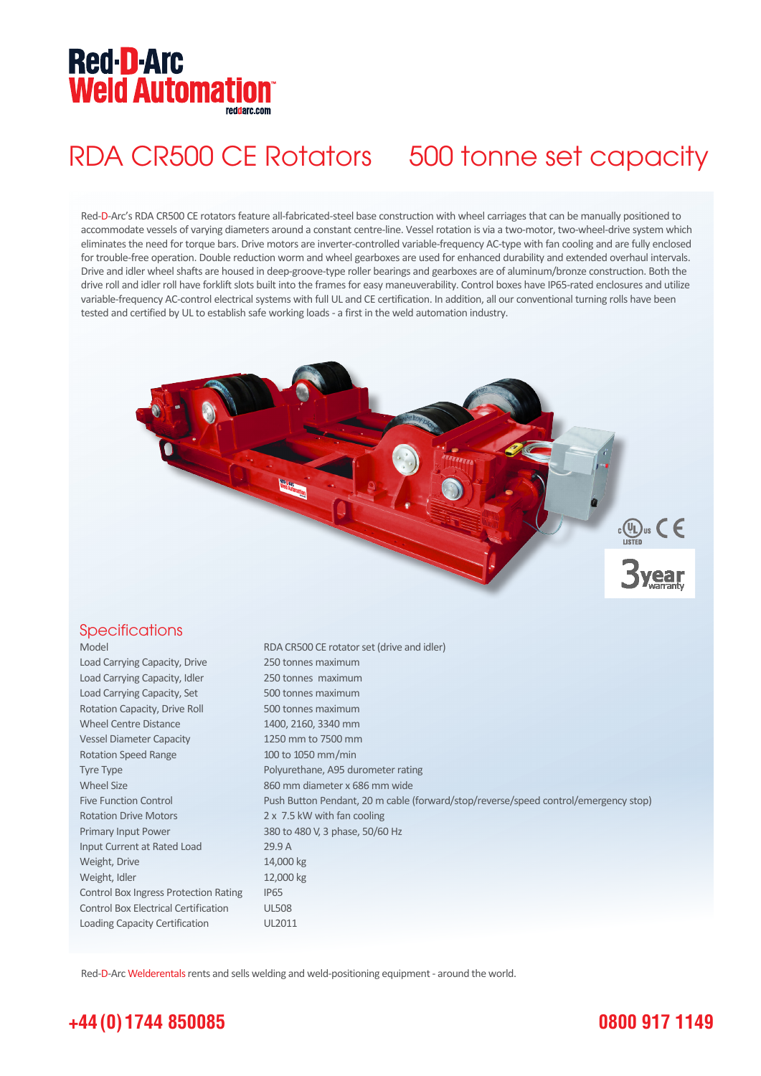# **Red-D-Arc Weld Automation®**

# RDA CR500 CE Rotators 500 tonne set capacity

Red-D-Arc's RDA CR500 CE rotators feature all-fabricated-steel base construction with wheel carriages that can be manually positioned to accommodate vessels of varying diameters around a constant centre-line. Vessel rotation is via a two-motor, two-wheel-drive system which eliminates the need for torque bars. Drive motors are inverter-controlled variable-frequency AC-type with fan cooling and are fully enclosed for trouble-free operation. Double reduction worm and wheel gearboxes are used for enhanced durability and extended overhaul intervals. Drive and idler wheel shafts are housed in deep-groove-type roller bearings and gearboxes are of aluminum/bronze construction. Both the drive roll and idler roll have forklift slots built into the frames for easy maneuverability. Control boxes have IP65-rated enclosures and utilize variable-frequency AC-control electrical systems with full UL and CE certification. In addition, all our conventional turning rolls have been tested and certified by UL to establish safe working loads - a first in the weld automation industry.



### **Specifications**

Load Carrying Capacity, Drive 250 tonnes maximum Load Carrying Capacity, Idler 250 tonnes maximum Load Carrying Capacity, Set 500 tonnes maximum Rotation Capacity, Drive Roll 500 tonnes maximum Wheel Centre Distance 1400, 2160, 3340 mm Vessel Diameter Capacity 1250 mm to 7500 mm Rotation Speed Range 100 to 1050 mm/min Tyre Type **Polyurethane**, A95 durometer rating Wheel Size 860 mm diameter x 686 mm wide Rotation Drive Motors 2 x 7.5 kW with fan cooling Primary Input Power 380 to 480 V, 3 phase, 50/60 Hz Input Current at Rated Load 29.9 A Weight, Drive 14,000 kg Weight, Idler 12,000 kg Control Box Ingress Protection Rating IP65 Control Box Electrical Certification UL508 Loading Capacity Certification UL2011

Model RDA CR500 CE rotator set (drive and idler) Five Function Control Push Button Pendant, 20 m cable (forward/stop/reverse/speed control/emergency stop)

Red-D-Arc Welderentals rents and sells welding and weld-positioning equipment - around the world.

## **+44 (0) 1744 850085**

### **0800 917 1149**